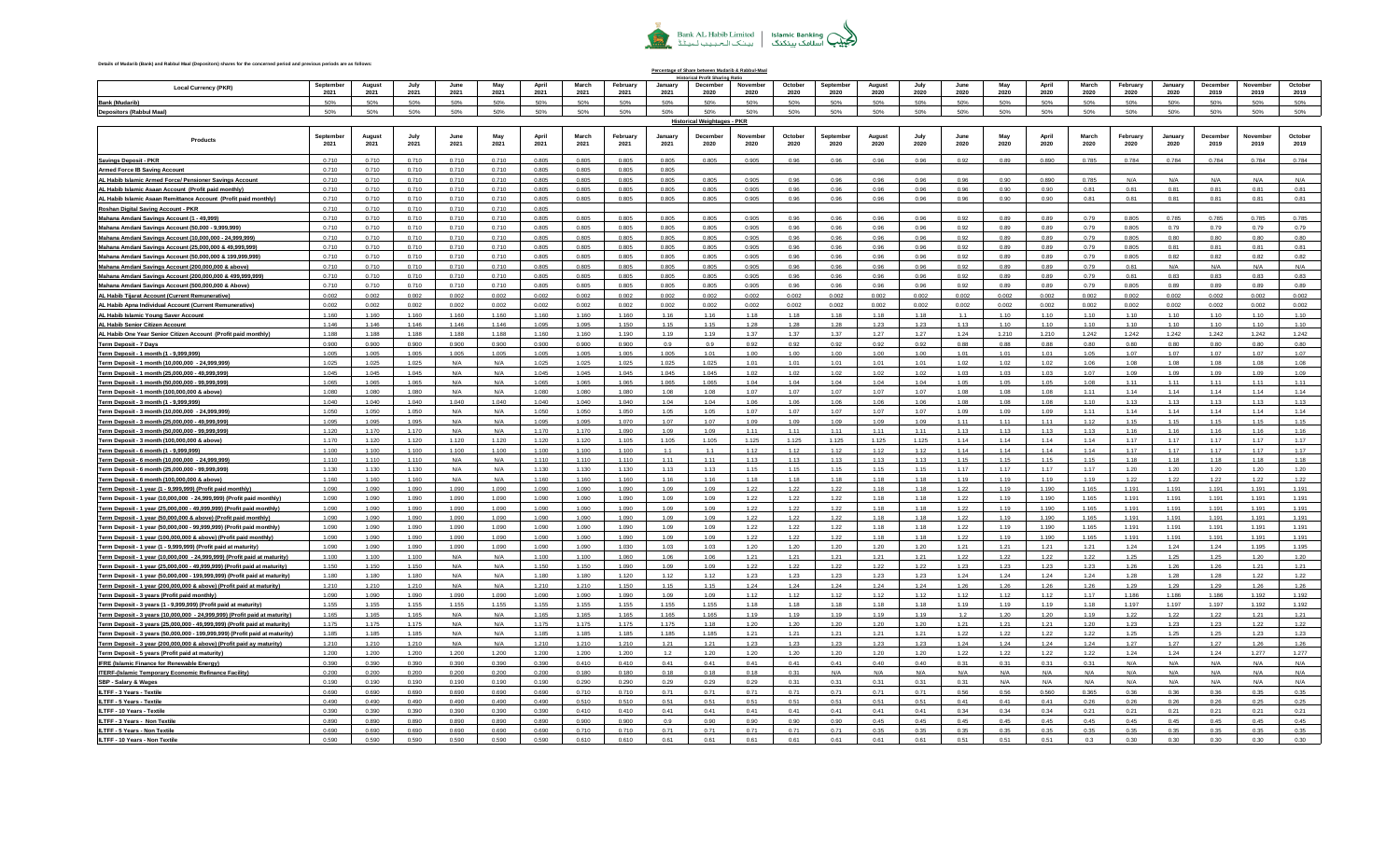

**Percentage of Share between Mudarib & Rabbul-Maal**

## **Details of Mudarib (Bank) and Rabbul Maal (Depositors) shares for the concerned period and previous periods are as follows:**

|                                                                                                                                                |                   |                |                |                |                |                |                |                  |                 | al Profit Sharine                  |                  |                 |                         |                |                |              |               |               |                |                  |                 |                  |                  |                 |
|------------------------------------------------------------------------------------------------------------------------------------------------|-------------------|----------------|----------------|----------------|----------------|----------------|----------------|------------------|-----------------|------------------------------------|------------------|-----------------|-------------------------|----------------|----------------|--------------|---------------|---------------|----------------|------------------|-----------------|------------------|------------------|-----------------|
| <b>Local Currency (PKR</b>                                                                                                                     | September<br>2021 | August<br>2021 | July<br>2021   | June<br>2021   | May<br>2021    | April<br>2021  | March<br>2021  | February<br>2021 | January<br>2021 | Decembe<br>2020                    | November<br>2020 | October<br>2020 | Septembe<br>2020        | August<br>2020 | July<br>2020   | June<br>2020 | May<br>2020   | April<br>2020 | March<br>2020  | February<br>2020 | January<br>2020 | December<br>2019 | November<br>2019 | October<br>2019 |
| Bank (Mudarib)                                                                                                                                 |                   | 50%            | 50%            | 50%            | 50%            | 50%            | 50%            | 50%              | 50%             |                                    | 50%              | 50%             | 50%                     | 50%            | 50%            | 50%          | 50%           | 50%           | 50%            | 50%              | 50%             | 50%              | 50%              | 50%             |
| <b>Depositors (Rabbul Maal)</b>                                                                                                                | 50%               | 50%            | 50%            | 50%            | 50%            | 50%            | 50%            | 50%              | 50%             | 50%                                | 50%              | 50%             | 50%                     | 50%            | 50%            | 50%          | 50%           | 50%           | 50%            | 50%              | 50%             | 50%              | 50%              | 50%             |
|                                                                                                                                                |                   |                |                |                |                |                |                |                  |                 | <b>Historical Weightages - PKR</b> |                  |                 |                         |                |                |              |               |               |                |                  |                 |                  |                  |                 |
|                                                                                                                                                |                   |                |                |                |                |                |                |                  |                 |                                    |                  |                 |                         |                |                |              |               |               |                |                  |                 |                  |                  |                 |
| Products                                                                                                                                       | Septembe<br>2021  | 2021           | 2021           | 2021           | May<br>2021    | April<br>2021  | March<br>2021  | February<br>2021 | January<br>2021 | Decembr<br>2020                    | Novembe<br>2020  | October<br>2020 | <b>Septembe</b><br>2020 | August<br>2020 | 2020           | June<br>2020 | May<br>2020   | April<br>2020 | March<br>2020  | February<br>2020 | January<br>2020 | December<br>2019 | November<br>2019 | October<br>2019 |
|                                                                                                                                                |                   |                |                |                |                |                |                |                  |                 |                                    |                  |                 |                         |                |                |              |               |               |                |                  |                 |                  |                  |                 |
| <b>Savings Deposit - PKR</b>                                                                                                                   | 0.710             | 0.710          | 0.710          | 0.710          | 0.710          | 0.805          | 0.805          | 0.805            | 0.805           | 0.805                              | 0.905            | 0.96            | 0.96                    | 0.96           | 0.96           | 0.92         | 0.89          | 0.890         | 0.785          | 0.784            | 0.784           | 0.784            | 0.784            | 0.784           |
| <u>Armed Force IB Saving Account</u>                                                                                                           | 0.710             | 0.710          | 0.710          | 0.710          | 0.710          | 0.805          | 0.805          | 0.805            | 0.805           |                                    |                  |                 |                         |                |                |              |               |               |                |                  |                 |                  |                  |                 |
| AL Habib Islamic Armed Force/ Pensioner Savings Account                                                                                        | 0.710             | 0.710          | 0.710          | 0.710          | 0.710          | 0.805          | 0.805          | 0.805            | 0.805           | 0.805                              | 0.905            | 0.96            | 0.96                    | 0.96           | 0.96           | 0.96         | 0.90          | 0.890         | 0.785          | N/A              | $N/\Delta$      | N/A              | N/A              | N/A             |
| AL Habib Islamic Asaan Account (Profit paid monthly)                                                                                           | 0.710             | 0.710          | 0.710          | 0.710          | 0.710          | 0.805          | 0.805          | 0.805            | 0.805           | 0.805                              | 0.905            | 0.96            | 0.96                    | 0.96           | 0.96           | 0.96         | 0.90          | 0.90          | 0.81           | 0.81             | 0.81            | 0.81             | 0.81             | 0.81            |
| AL Habib Islamic Asaan Remittance Account (Profit paid monthly)                                                                                | 0.710             | 0.710          | 0.710          | 0.710          | 0.710          | 0.805          | 0.805          | 0.805            | 0.805           | 0.805                              | 0.905            | 0.96            | 0.96                    | 0.96           | 0.96           | 0.96         | 0.90          | 0.90          | 0.81           | 0.81             | 0.81            | 0.81             | 0.81             | 0.81            |
| Roshan Digital Saving Account - PKR                                                                                                            | 0.710             | 0.710          | 0.710          | 0.710          | 0.710          | 0.805          |                |                  |                 |                                    |                  |                 |                         |                |                |              |               |               |                |                  |                 |                  |                  |                 |
| Mahana Amdani Savings Account (1 - 49,999)                                                                                                     | 0.710             | 0.710          | 0.710          | 0.710          | 0.710          | 0.805          | 0.805          | 0.805            | 0.805           | 0.805                              | 0.905            | 0.96            | 0.96                    | 0.96           | 0.96           | 0.92         | 0.89          | 0.89          | 0.79           | 0.805            | 0.785           | 0.785            | 0.785            | 0.785           |
| Mahana Amdani Savings Account (50,000 - 9,999,999)                                                                                             | 0.710             | 0.710          | 0.710          | 0.710          | 0.710          | 0.805          | 0.805          | 0.805            | 0.805           | 0.805                              | 0.905            | 0.96            | 0.96                    | 0.96           | 0.96           | 0.92         | 0.89          | 0.89          | 0.79           | 0.805            | 0.79            | 0.79             | 0.79             | 0.79            |
| Mahana Amdani Savings Account (10,000,000 - 24,999,999)                                                                                        | 0.710             | 0.710          | 0.710          | 0.710          | 0.710          | 0.805          | 0.805          | 0.805            | 0.805           | 0.805                              | 0.905            | 0.96            | 0.96                    | 0.96           | 0.96           | 0.92         | 0.89          | 0.89          | 0.79           | 0.805            | 0.80            | 0.80             | 0.80             | 0.80            |
| Mahana Amdani Savings Account (25,000,000 & 49,999,999)                                                                                        | 0.710             | 0.710          | 0.710          | 0.710          | 0.710          | 0.805          | 0.805          | 0.805            | 0.805           | 0.805                              | 0.905            | 0.96            | 0.96                    | 0.96           | 0.96           | 0.92         | 0.89          | 0.89          | 0.79           | 0.805            | 0.81            | 0.81             | 0.81             | 0.81            |
| Mahana Amdani Savings Account (50,000,000 & 199,999,999                                                                                        | 0.710             | 0.710          | 0.710          | 0.710          | 0.710          | 0.805          | 0.805          | 0.805            | 0.805           | 0.805                              | 0.905            | 0.96            | 0.96                    | 0.96           | 0.96           | 0.92         | 0.89          | 0.89          | 0.79           | 0.805            | 0.82            | 0.82             | 0.82             | 0.82            |
| Mahana Amdani Savings Account (200,000,000 & above)                                                                                            | 0.710             | 0.710          | 0.710          | 0.710          | 0.710          | 0.805          | 0.805          | 0.805            | 0.805           | 0.805                              | 0.905            | 0.96            | 0.96                    | 0.96           | 0.96           | 0.92         | 0.89          | 0.89          | 0.79           | 0.81             | N/A             | N/A              | N/A              | N/A             |
| Mahana Amdani Savings Account (200,000,000 & 499,999,999)                                                                                      | 0.710             | 0.710          | 0.710<br>0.710 | 0.710          | 0.710          | 0.805<br>0.805 | 0.805          | 0.805            | 0.805           | 0.805<br>0.805                     | 0.905            | 0.96            | 0.96                    | 0.96           | 0.96           | 0.92<br>0.92 | 0.89          | 0.89<br>0.89  | 0.79           | 0.81<br>0.805    | 0.83            | 0.83             | 0.83<br>0.89     | 0.83            |
| Mahana Amdani Savings Account (500,000,000 & Above)                                                                                            | 0.710<br>0.002    | 0.710<br>0.002 | 0.002          | 0.710<br>0.002 | 0.710<br>0.002 | 0.002          | 0.805<br>0.002 | 0.805            | 0.805<br>0.002  | 0.002                              | 0.905<br>0.002   | 0.96<br>0.002   | 0.96<br>0.002           | 0.96<br>0.002  | 0.96           | 0.002        | 0.89<br>0.002 | 0.002         | 0.79           | 0.002            | 0.89            | 0.89<br>0.002    | 0.002            | 0.89            |
| AL Habib Tijarat Account (Current Remunerative)<br>AL Habib Apna Individual Account (Current Remunerative)                                     | 0.002             | 0.002          | 0.002          | 0.002          | 0.002          | 0.002          | 0.002          | 0.002<br>0.002   | 0.002           | 0.002                              | 0.002            | 0.002           | 0.002                   | 0.002          | 0.002<br>0.002 | 0.002        | 0.002         | 0.002         | 0.002<br>0.002 | 0.002            | 0.002<br>0.002  | 0.002            | 0.002            | 0.002<br>0.002  |
| AL Habib Islamic Young Saver Account                                                                                                           | 1.160             | 1.160          | 1.160          | 1.160          | 1.160          | 1.160          | 1.160          | 1.160            | 1.16            | 1.16                               | 1.18             | 1.18            | 1.18                    | 1.18           | 1.18           | 1.1          | 1.10          | 1.10          | 1.10           | 1.10             | 1.10            | 1.10             | 1.10             | 1.10            |
| AL Habib Senior Citizen Account                                                                                                                | 1.146             | 1 146          | 1.146          | 1.146          | 1.146          | 1.095          | 1.095          | 1.150            | 1.15            | 1.15                               | 1.28             | 1.28            | 1.28                    | 1.23           | 1.23           | 1.13         | 110           | 1.10          | 110            | 1.10             | 110             | 1.10             | 110              | 1.10            |
| AL Habib One Year Senior Citizen Account (Profit paid monthly)                                                                                 | 1.188             | 1.188          | 1.188          | 1.188          | 1.188          | 1.160          | 1.160          | 1.190            | 1.19            | 1.19                               | 1.37             | 1.37            | 1.37                    | 1.27           | 1.27           | 1.24         | 1.210         | 1.210         | 1.242          | 1.242            | 1.242           | 1.242            | 1.242            | 1.242           |
| Term Deposit - 7 Days                                                                                                                          | 0.900             | 0.900          | 0.900          | 0.900          | 0.900          | 0.900          | 0.900          | 0.900            | 0.9             | 0.9                                | 0.92             | 0.92            | 0.92                    | 0.92           | 0.92           | 0.88         | 0.88          | 0.88          | 0.80           | 0.80             | 0.80            | 0.80             | 0.80             | 0.80            |
| Term Deposit - 1 month (1 - 9,999,999)                                                                                                         | 1.005             | 1.005          | 1.005          | 1.005          | 1.005          | 1.005          | 1.005          | 1.005            | 1.005           | 1.01                               | 1.00             | 1.00            | 1.00                    | 1.00           | 1.00           | 1.01         | 1.01          | 1.01          | 1.05           | 1.07             | 1.07            | 1.07             | 1.07             | 1.07            |
| Term Deposit - 1 month (10,000,000 - 24,999,999)                                                                                               | 1.025             | 1.025          | 1.025          | N/A            | N/A            | 1.025          | 1.025          | 1.025            | 1.025           | 1.025                              | 1.01             | 1.01            | 1.01                    | 1.01           | 1.01           | 1.02         | 1.02          | 1.02          | 1.06           | 1.08             | 1.08            | 1.08             | 1.08             | 1.08            |
| Term Deposit - 1 month (25,000,000 - 49,999,999                                                                                                | 1.045             | 1.045          | 1.045          | N/A            | N/A            | 1.045          | 1.045          | 1.045            | 1.045           | 1.045                              | 1.02             | 1.02            | 1.02                    | 1.02           | 1.02           | 1.03         | 1.03          | 1.03          | 1.07           | 1.09             | 1.09            | 1.09             | 1.09             | 1.09            |
| Term Deposit - 1 month (50,000,000 - 99,999,999)                                                                                               | 1.065             | 1.065          | 1.065          | N/A            | N/A            | 1.065          | 1.065          | 1.065            | 1.065           | 1.065                              | 1.04             | 1.04            | 1.04                    | 1.04           | 1.04           | 1.05         | 1.05          | 1.05          | 1.08           | 1.11             | 1.11            | 1.11             | 1.11             | $1.11 -$        |
| Term Deposit - 1 month (100,000,000 & above)                                                                                                   | 1.080             | 1.080          | 1.080          | N/A            | N/A            | 1.080          | 1.080          | 1.080            | 1.08            | 1.08                               | 1.07             | 1.07            | 1.07                    | 1.07           | 1.07           | 1.08         | 1.08          | 1.08          | 1.11           | 1.14             | 1.14            | 1.14             | 1.14             | 1.14            |
| Term Deposit - 3 month (1 - 9,999,999                                                                                                          | 1.040             | 1.040          | 1.040          | 1.040          | 1.040          | 1.040          | 1.040          | 1.040            | 1.04            | 1.04                               | 1.06             | 1.06            | 1.06                    | 1.06           | 1.06           | 1.08         | 1.08          | 1.08          | 1.10           | 1.13             | 1.13            | 1.13             | 1.13             | 1.13            |
| Term Deposit - 3 month (10,000,000 - 24,999,999)                                                                                               | 1.050             | 1.050          | 1.050          | N/A            | N/A            | 1.050          | 1.050          | 1.050            | 1.05            | 1.05                               | 1.07             | 1.07            | 1.07                    | 1.07           | 1.07           | 1.09         | 1.09          | 1.09          | 1.11           | 1.14             | 1.14            | 1.14             | 1.14             | 1.14            |
| Term Deposit - 3 month (25,000,000 - 49,999,999)                                                                                               | 1.095             | 1.095          | 1.095          | N/A            | N/A            | 1.095          | 1.095          | 1.070            | 1.07            | 1.07                               | 1.09             | 1.09            | 1.09                    | 1.09           | 1.09           | 1.11         | 1.11          | 1.11          | 1.12           | 1.15             | 1.15            | 1.15             | 1.15             | 1.15            |
| Term Deposit - 3 month (50,000,000 - 99,999,999)                                                                                               | 1.120             | 1.170          | 1.170          | N/A            | N/A            | 1.170          | 1.170          | 1.090            | 1.09            | 1.09                               | 1.11             | 1.11            | 1.11                    | 1.11           | 1.11           | 1.13         | 1.13          | 1.13          | 1.13           | 1.16             | 1.16            | 1.16             | 1.16             | 1.16            |
| Term Deposit - 3 month (100,000,000 & above                                                                                                    | 1.170             | 1 1 2 0        | 1.120          | 1.120          | 1.120          | 1 1 2 0        | 1.120          | 1.105            | 1 105<br>1.1    | 1.105                              | 1.125            | 1 1 2 5         | 1 1 2 5                 | 1.125          | 1 1 2 5        | 1 1 4        | 114           | 1.14          | 1 1 4<br>1.14  | 1 1 7<br>1.17    | 1 1 7           | 1 1 7<br>1.17    | 1 1 7            | 1.17            |
| <u>Ferm Deposit - 6 month (1 - 9,999,999)</u>                                                                                                  | 1.100<br>1.110    | 1.100<br>1.110 | 1.100<br>1.110 | 1.100<br>N/A   | 1.100<br>N/A   | 1.100<br>1.110 | 1.100<br>1.110 | 1.100<br>1.110   | 1.11            | 1.1<br>1.11                        | 1.12<br>1.13     | 1.12<br>1.13    | 1.12<br>1.13            | 1.12<br>1.13   | 1.12<br>1.13   | 1.14<br>1.15 | 1.14<br>1.15  | 1.14<br>1.15  | 1.15           | 1.18             | 1.17<br>1.18    | 1.18             | 1.17<br>1.18     | 1.17<br>1.18    |
| Term Deposit - 6 month (10,000,000 - 24,999,999)<br>Term Deposit - 6 month (25,000,000 - 99,999,999)                                           | 1.130             | 1.130          | 1.130          | N/A            | N/A            | 1.130          | 1.130          | 1.130            | 1.13            | 1.13                               | 1.15             | 1.15            | 1.15                    | 1.15           | 1.15           | 1.17         | 1.17          | 1.17          | 1.17           | 1.20             | 1.20            | 1.20             | 1.20             | 1.20            |
| Term Deposit - 6 month (100,000,000 & above)                                                                                                   | 1.160             | 1.160          | 1.160          | N/A            | N/A            | 1.160          | 1.160          | 1.160            | 1.16            | 1.16                               | 1.18             | 1.18            | 1.18                    | 1.18           | 1.18           | 1.19         | 1.19          | 1.19          | 1.19           | 1.22             | 1.22            | 1.22             | 1.22             | 1.22            |
| Term Deposit - 1 year (1 - 9,999,999) (Profit paid monthly)                                                                                    | 1.090             | 1.090          | 1.090          | 1.090          | 1.090          | 1.090          | 1.090          | 1.090            | 1.09            | 1.09                               | 1.22             | 1.22            | 1.22                    | 1.18           | 1.18           | 1.22         | 1.19          | 1.190         | 1.165          | 1.191            | 1.191           | 1.191            | 1.191            | 1.191           |
| Term Deposit - 1 year (10,000,000 - 24,999,999) (Profit paid monthly)                                                                          | 1.090             | 1.090          | 1.090          | 1.090          | 1.090          | 1.090          | 1.090          | 1.090            | 1.09            | 1.09                               | 1.22             | 1.22            | 1.22                    | 1.18           | 1.18           | 1.22         | 1.19          | 1.190         | 1.165          | 1.191            | 1.191           | 1.191            | 1.191            | 1.191           |
| Term Deposit - 1 year (25,000,000 - 49,999,999) (Profit paid monthly)                                                                          | 1.090             | 1.090          | 1.090          | 1.090          | 1.090          | 1.090          | 1.090          | 1.090            | 1.09            | 1.09                               | 1.22             | 1.22            | 1.22                    | 1.18           | 1.18           | 1.22         | 1.19          | 1.190         | 1.165          | 1.191            | 1.191           | 1.191            | 1.191            | 1.191           |
| Term Deposit - 1 year (50,000,000 & above) (Profit paid monthly)                                                                               | 1.090             | 1.090          | 1.090          | 1.090          | 1.090          | 1.090          | 1.090          | 1.090            | 1.09            | 1.09                               | 1.22             | 1.22            | 1.22                    | 1.18           | 1.18           | 1.22         | 1.19          | 1.190         | 1.165          | 1.191            | 1.191           | 1.191            | 1.191            | 1.191           |
| Term Deposit - 1 year (50,000,000 - 99,999,999) (Profit paid monthly)                                                                          | 1.090             | 1.090          | 1.090          | 1.090          | 1.090          | 1.090          | 1.090          | 1.090            | 1.09            | 1.09                               | 1.22             | 1.22            | 1.22                    | 1.18           | 1.18           | 1.22         | 1.19          | 1.190         | 1.165          | 1.191            | 1.19'           | 1.191            | 1.191            | 1.191           |
| Term Deposit - 1 year (100,000,000 & above) (Profit paid monthly)                                                                              | 1.090             | 1.090          | 1.090          | 1.090          | 1.090          | 1.090          | 1.090          | 1.090            | 1.09            | 1.09                               | 1.22             | 1.22            | 1.22                    | 1.18           | 1.18           | 1.22         | 1.19          | 1.190         | 1.165          | 1.191            | 1.191           | 1.191            | 1.191            | 1.191           |
| Term Deposit - 1 year (1 - 9,999,999) (Profit paid at maturity)                                                                                | 1.090             | 1.090          | 1.090          | 1.090          | 1.090          | 1.090          | 1.090          | 1.030            | 1.03            | 1.03                               | 1.20             | 1.20            | 1.20                    | 1.20           | 1.20           | 1.21         | 1.21          | 1.21          | 1.21           | 1.24             | 1.24            | 1.24             | 1.195            | 1.195           |
| Term Deposit - 1 year (10,000,000 - 24,999,999) (Profit paid at maturity)                                                                      | 1.100             | 1.100          | 1.100          | N/A            | N/A            | 1.100          | 1.100          | 1.060            | 1.06            | 1.06                               | 1.21             | 1.21            | 1.21                    | 1.21           | 1.21           | 1.22         | 1.22          | 1.22          | 1.22           | 1.25             | 1.25            | 1.25             | 1.20             | 1.20            |
| Term Deposit - 1 year (25,000,000 - 49,999,999) (Profit paid at maturity)                                                                      | 1.150             | 1.150          | 1.150          | N/A            | N/A            | 1.150          | 1.150          | 1.090            | 1.09            | 1.09                               | 1.22             | 1.22            | 1.22                    | 1.22           | 1.22           | 1.23         | 1.23          | 1.23          | 1.23           | 1.26             | 1.26            | 1.26             | 1.21             | 1.21            |
| Term Deposit - 1 year (50,000,000 - 199,999,999) (Profit paid at maturity)                                                                     | 1.180             | 1.180          | 1.180          | N/A            | N/A            | 1.180          | 1.180          | 1.120            | 1.12            | 1.12                               | 1.23             | 1.23            | 1.23                    | 1.23           | 1.23           | 1.24         | 1.24          | 1.24          | 1.24           | 1.28             | 1.28            | 1.28             | 1.22             | 1.22            |
| Term Deposit - 1 year (200,000,000 & above) (Profit paid at maturity)                                                                          | 1.210             | 1.210          | 1.210          | N/A            | N/A            | 1.210          | 1.210          | 1.150            | 1.15            | 1.15                               | 1.24             | 1.24            | 1.24                    | 1.24           | 1.24           | 1.26         | 1.26          | 1.26          | 1.26           | 1.29             | 1.29            | 1.29             | 1.26             | 1.26            |
| Term Deposit - 3 years (Profit paid monthly)                                                                                                   | 1.090             | 1.090          | 1.090          | 1.090          | 1.090          | 1.090<br>1.155 | 1.090          | 1.090            | 1.09<br>1.155   | 1.09                               | 1.12<br>1.18     | 1.12<br>1.18    | 1.12<br>1.18            | 1.12           | 1.12<br>1.18   | 1.12<br>1.19 | 1.12<br>1.19  | 1.12          | 1.17<br>1.18   | 1.186<br>1.197   | 1.186<br>1.197  | 1.186<br>1.197   | 1.192            | 1.192           |
| Term Deposit - 3 years (1 - 9,999,999) (Profit paid at maturity)<br>Term Deposit - 3 years (10,000,000 - 24,999,999) (Profit paid at maturity) | 1.155<br>1.165    | 1.155<br>1.165 | 1.155<br>1.165 | 1.155<br>N/A   | 1.155<br>N/A   | 1.165          | 1.155<br>1.165 | 1.155<br>1.165   | 1.165           | 1.155<br>1.165                     | 1.19             | 1.19            | 1.19                    | 1.18<br>1.19   | 1.19           | 1.2          | 1.20          | 1.19<br>1.20  | 1.19           | 1.22             | 1.22            | 1.22             | 1.192<br>1.21    | 1.192<br>1.21   |
| Term Deposit - 3 years (25,000,000 - 49,999,999) (Profit paid at maturity)                                                                     | 1.175             | 1.175          | 1.175          | N/A            | N/A            | 1.175          | 1.175          | 1.175            | 1.175           | 1.18                               | 1.20             | 1.20            | 1.20                    | 1.20           | 1.20           | 1.21         | 1.21          | 1.21          | 1.20           | 1.23             | 1.23            | 1.23             | 1.22             | 1.22            |
| Term Deposit - 3 years (50,000,000 - 199,999,999) (Profit paid at maturity)                                                                    | 1.185             | 1.185          | 1.185          | N/A            | N/A            | 1.185          | 1.185          | 1.185            | 1.185           | 1.185                              | 1.21             | 1.21            | 1.21                    | 1.21           | 1.21           | 1.22         | 1.22          | 1.22          | 1.22           | 1.25             | 1.25            | 1.25             | 1.23             | 1.23            |
| Term Deposit - 3 year (200,000,000 & above) (Profit paid ay maturity)                                                                          | 1.210             | 1.210          | 1.210          | N/A            | N/A            | 1.210          | 1.210          | 1.210            | 1.21            | 1.21                               | 1.23             | 1.23            | 1.23                    | 1.23           | 1.23           | 1.24         | 1.24          | 1.24          | 1.24           | 1.27             | 1.27            | 1.27             | 1.26             | 1.26            |
| Term Deposit - 5 years (Profit paid at maturity)                                                                                               | 1.200             | 1.200          | 1.200          | 1.200          | 1.200          | 1.200          | 1.200          | 1.200            | 1.2             | 1.20                               | 1.20             | 1.20            | 1.20                    | 1.20           | 1.20           | 1.22         | 1.22          | 1.22          | 1.22           | 1.24             | 1.24            | 1.24             | 1.277            | 1.277           |
| <b>IFRE (Islamic Finance for Renewable Energy)</b>                                                                                             | 0.390             | 0.390          | 0.390          | 0.390          | 0.390          | 0.390          | 0.410          | 0.410            | 0.41            | 0.41                               | 0.41             | 0.41            | 0.41                    | 0.40           | 0.40           | 0.31         | 0.31          | 0.31          | 0.31           | N/A              | N/A             | N/A              | N/A              | N/A             |
| ITERF-(Islamic Temporary Economic Refinance Facility)                                                                                          | 0.200             | 0.200          | 0.200          | 0.200          | 0.200          | 0.200          | 0.180          | 0.180            | 0.18            | 0.18                               | 0.18             | 0.31            | N/A                     | N/A            | N/A            | N/A          | N/A           | N/A           | N/A            | N/A              | $N/\Delta$      | N/A              | N/A              | N/A             |
| SBP - Salary & Wages                                                                                                                           | 0.190             | 0.190          | 0.190          | 0.190          | 0.190          | 0.190          | 0.290          | 0.290            | 0.29            | 0.29                               | 0.29             | 0.31            | 0.31                    | 0.31           | 0.31           | 0.31         | N/A           | N/A           | N/l            | N/A              | N/L             | N/A              | N/A              | N/A             |
| LTFF - 3 Years - Textile                                                                                                                       | 0.690             | 0.690          | 0.690          | 0.690          | 0.690          | 0.690          | 0.710          | 0.710            | 0.71            | 0.71                               | 0.71             | 0.71            | 0.71                    | 0.71           | 0.71           | 0.56         | 0.56          | 0.560         | 0.365          | 0.36             | 0.36            | 0.36             | 0.35             | 0.35            |
| <u> ILTFF - 5 Years - Textile</u>                                                                                                              | 0.490             | 0.490          | 0.490          | 0.490          | 0.490          | 0.490          | 0.510          | 0.510            | 0.51            | 0.51                               | 0.51             | 0.51            | 0.51                    | 0.51           | 0.51           | 0.41         | 0.41          | 0.41          | 0.26           | 0.26             | 0.26            | 0.26             | 0.25             | 0.25            |
| <b>ILTFF - 10 Years - Textile</b>                                                                                                              | 0.390             | 0.390          | 0.390          | 0.390          | 0.390          | 0.390          | 0.410          | 0.410            | 0.41            | 0.41                               | 0.41             | 0.41            | 0.41                    | 0.41           | 0.41           | 0.34         | 0.34          | 0.34          | 0.21           | 0.21             | 0.21            | 0.21             | 0.21             | 0.21            |
| ILTFF - 3 Years - Non Textile                                                                                                                  | 0.890             | 0.890          | 0.890          | 0.890          | 0.890          | 0.890          | 0.900          | 0.900            | 0.9             | 0.90                               | 0.90             | 0.90            | 0.90                    | 0.45           | 0.45           | 0.45         | 0.45          | 0.45          | 0.45           | 0.45             | 0.45            | 0.45             | 0.45             | 0.45            |
| ILTFF - 5 Years - Non Textile                                                                                                                  | 0.690             | 0.690          | 0.690          | 0.690          | 0.690          | 0.690          | 0.710          | 0.710            | 0.71            | 0.71                               | 0.71             | 0.71            | 0.71                    | 0.35           | 0.35           | 0.35         | 0.35          | 0.35          | 0.35           | 0.35             | 0.35            | 0.35             | 0.35             | 0.35            |
| ILTFF - 10 Years - Non Textile                                                                                                                 | 0.590             | 0.590          | 0.590          | 0.590          | 0.590          | 0.590          | 0.610          | 0.610            | 0.61            | 0.61                               | 0.61             | 0.61            | 0.61                    | 0.61           | 0.61           | 0.51         | 0.51          | 0.51          | 0.3            | 0.30             | 0.30            | 0.30             | 0.30             | 0.30            |